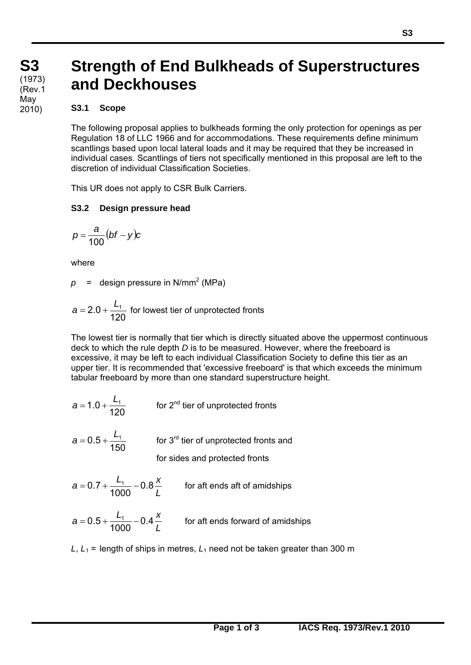# **Strength of End Bulkheads of Superstructures and Deckhouses**

#### **S3.1 Scope**

The following proposal applies to bulkheads forming the only protection for openings as per Regulation 18 of LLC 1966 and for accommodations. These requirements define minimum scantlings based upon local lateral loads and it may be required that they be increased in individual cases. Scantlings of tiers not specifically mentioned in this proposal are left to the discretion of individual Classification Societies.

This UR does not apply to CSR Bulk Carriers.

## **S3.2 Design pressure head**

$$
p=\frac{a}{100}(bf-y)c
$$

where

 $\overline{a}$ 

 $p =$  design pressure in N/mm<sup>2</sup> (MPa)

$$
a = 2.0 + \frac{L_1}{120}
$$
 for lowest tier of unprotected fronts

The lowest tier is normally that tier which is directly situated above the uppermost continuous deck to which the rule depth *D* is to be measured. However, where the freeboard is excessive, it may be left to each individual Classification Society to define this tier as an upper tier. It is recommended that 'excessive freeboard' is that which exceeds the minimum tabular freeboard by more than one standard superstructure height.

- 120  $a = 1.0 + \frac{L_1}{4.00}$  for 2<sup>nd</sup> tier of unprotected fronts
- 150  $a = 0.5 + \frac{L_1}{1.50}$  for 3<sup>rd</sup> tier of unprotected fronts and for sides and protected fronts
- *L*  $a = 0.7 + \frac{L_1}{1000} - 0.8 \frac{x}{l}$ 1000  $= 0.7 + \frac{L_1}{1000} - 0.8 \frac{\lambda}{L}$  for aft ends aft of amidships

$$
a = 0.5 + \frac{L_1}{1000} - 0.4 \frac{x}{L}
$$
 for aft ends forward of amidships

*L*,  $L_1$  = length of ships in metres,  $L_1$  need not be taken greater than 300 m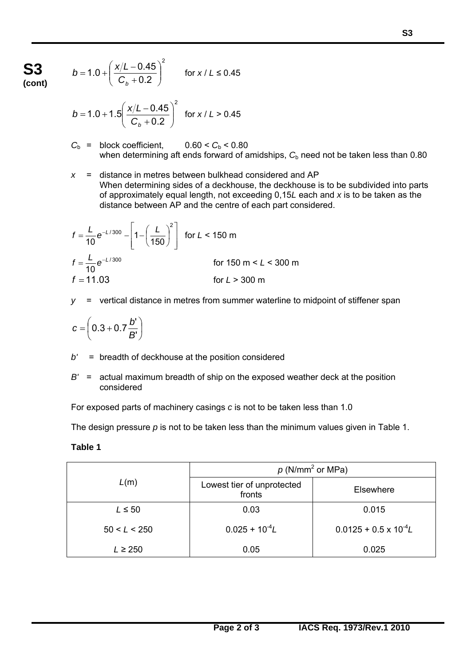**S3 (cont)**

$$
b = 1.0 + \left(\frac{x/L - 0.45}{C_b + 0.2}\right)^2 \qquad \text{for } x/L \le 0.45
$$

$$
b = 1.0 + 1.5 \left( \frac{x/L - 0.45}{C_b + 0.2} \right)^2 \text{ for } x / L > 0.45
$$

- $C_b$  = block coefficient,  $0.60 < C_b < 0.80$ when determining aft ends forward of amidships, C<sub>b</sub> need not be taken less than 0.80
- *x* = distance in metres between bulkhead considered and AP When determining sides of a deckhouse, the deckhouse is to be subdivided into parts of approximately equal length, not exceeding 0,15*L* each and *x* is to be taken as the distance between AP and the centre of each part considered.

$$
f = \frac{L}{10} e^{-L/300} - \left[ 1 - \left( \frac{L}{150} \right)^2 \right]
$$
 for  $L < 150$  m  

$$
f = \frac{L}{10} e^{-L/300}
$$
 for 150 m  $L < 300$  m  
 $f = 11.03$  for  $L > 300$  m

*y* = vertical distance in metres from summer waterline to midpoint of stiffener span

$$
c = \left(0.3 + 0.7 \frac{b'}{B'}\right)
$$

- *b'* = breadth of deckhouse at the position considered
- *B'* = actual maximum breadth of ship on the exposed weather deck at the position considered

For exposed parts of machinery casings *c* is not to be taken less than 1.0

The design pressure *p* is not to be taken less than the minimum values given in Table 1.

### **Table 1**

 $\overline{a}$ 

| L(m)         | $p(N/mm^2 \text{ or MPa})$           |                                |
|--------------|--------------------------------------|--------------------------------|
|              | Lowest tier of unprotected<br>fronts | Elsewhere                      |
| $L \leq 50$  | 0.03                                 | 0.015                          |
| 50 < L < 250 | $0.025 + 10^{-4}L$                   | $0.0125 + 0.5 \times 10^{-4}L$ |
| $L \geq 250$ | 0.05                                 | 0.025                          |